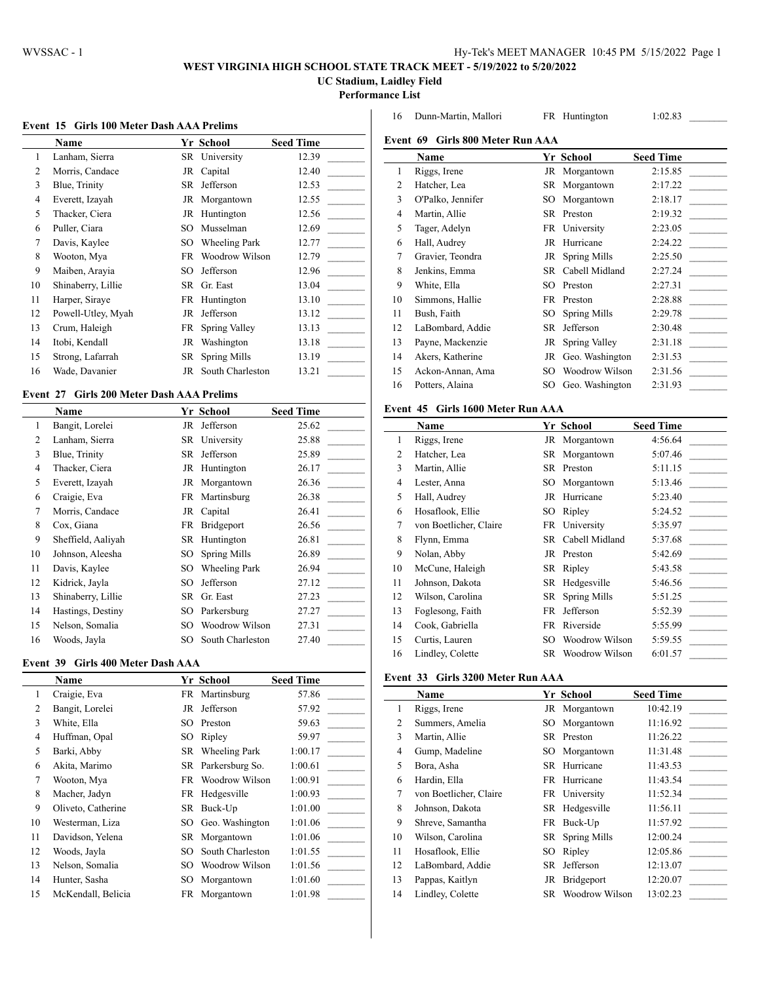# **WEST VIRGINIA HIGH SCHOOL STATE TRACK MEET - 5/19/2022 to 5/20/2022**

**UC Stadium, Laidley Field**

**Performance List**

|  |  |  |  |  |  |  | Event 15 Girls 100 Meter Dash AAA Prelims |
|--|--|--|--|--|--|--|-------------------------------------------|
|--|--|--|--|--|--|--|-------------------------------------------|

|    | <b>Name</b>        |     | Yr School            | <b>Seed Time</b> |
|----|--------------------|-----|----------------------|------------------|
| 1  | Lanham, Sierra     | SR  | University           | 12.39            |
| 2  | Morris, Candace    | JR  | Capital              | 12.40            |
| 3  | Blue, Trinity      | SR. | Jefferson            | 12.53            |
| 4  | Everett, Izayah    | JR  | Morgantown           | 12.55            |
| 5  | Thacker, Ciera     | JR  | Huntington           | 12.56            |
| 6  | Puller, Ciara      | SO  | Musselman            | 12.69            |
| 7  | Davis, Kaylee      | SO  | <b>Wheeling Park</b> | 12.77            |
| 8  | Wooton, Mya        | FR  | Woodrow Wilson       | 12.79            |
| 9  | Maiben, Arayia     | SO  | Jefferson            | 12.96            |
| 10 | Shinaberry, Lillie | SR  | Gr. East             | 13.04            |
| 11 | Harper, Siraye     | FR  | Huntington           | 13.10            |
| 12 | Powell-Utley, Myah | JR  | Jefferson            | 13.12            |
| 13 | Crum, Haleigh      | FR  | Spring Valley        | 13.13            |
| 14 | Itobi, Kendall     | JR  | Washington           | 13.18            |
| 15 | Strong, Lafarrah   | SR  | Spring Mills         | 13.19            |
| 16 | Wade, Davanier     | JR  | South Charleston     | 13.21            |

## **Event 27 Girls 200 Meter Dash AAA Prelims**

|    | Name               |    | Yr School            | <b>Seed Time</b> |
|----|--------------------|----|----------------------|------------------|
| 1  | Bangit, Lorelei    | JR | Jefferson            | 25.62            |
| 2  | Lanham, Sierra     |    | SR University        | 25.88            |
| 3  | Blue, Trinity      | SR | Jefferson            | 25.89            |
| 4  | Thacker, Ciera     |    | JR Huntington        | 26.17            |
| 5  | Everett, Izayah    |    | JR Morgantown        | 26.36            |
| 6  | Craigie, Eva       | FR | Martinsburg          | 26.38            |
| 7  | Morris, Candace    |    | JR Capital           | 26.41            |
| 8  | Cox, Giana         |    | FR Bridgeport        | 26.56            |
| 9  | Sheffield, Aaliyah |    | SR Huntington        | 26.81            |
| 10 | Johnson, Aleesha   | SO | Spring Mills         | 26.89            |
| 11 | Davis, Kaylee      | SO | <b>Wheeling Park</b> | 26.94            |
| 12 | Kidrick, Jayla     | SО | Jefferson            | 27.12            |
| 13 | Shinaberry, Lillie |    | SR Gr. East          | 27.23            |
| 14 | Hastings, Destiny  | SO | Parkersburg          | 27.27            |
| 15 | Nelson, Somalia    | SO | Woodrow Wilson       | 27.31            |
| 16 | Woods, Jayla       | SO | South Charleston     | 27.40            |

### **Event 39 Girls 400 Meter Dash AAA**

|                | <b>Name</b>        |     | Yr School          | <b>Seed Time</b> |
|----------------|--------------------|-----|--------------------|------------------|
| 1              | Craigie, Eva       |     | FR Martinsburg     | 57.86            |
| $\overline{c}$ | Bangit, Lorelei    | JR  | Jefferson          | 57.92            |
| 3              | White, Ella        | SO. | Preston            | 59.63            |
| 4              | Huffman, Opal      | SO. | Ripley             | 59.97            |
| 5              | Barki, Abby        |     | SR Wheeling Park   | 1:00.17          |
| 6              | Akita, Marimo      |     | SR Parkersburg So. | 1:00.61          |
| 7              | Wooton, Mya        |     | FR Woodrow Wilson  | 1:00.91          |
| 8              | Macher, Jadyn      |     | FR Hedgesville     | 1:00.93          |
| 9              | Oliveto, Catherine |     | SR Buck-Up         | 1:01.00          |
| 10             | Westerman, Liza    |     | SO Geo. Washington | 1:01.06          |
| 11             | Davidson, Yelena   |     | SR Morgantown      | 1:01.06          |
| 12             | Woods, Jayla       | SO  | South Charleston   | 1:01.55          |
| 13             | Nelson, Somalia    | SО  | Woodrow Wilson     | 1:01.56          |
| 14             | Hunter, Sasha      | SO. | Morgantown         | 1:01.60          |
| 15             | McKendall, Belicia | FR  | Morgantown         | 1:01.98          |

|    | Name              |     | Yr School           | <b>Seed Time</b> |
|----|-------------------|-----|---------------------|------------------|
| 1  | Riggs, Irene      | JR  | Morgantown          | 2:15.85          |
| 2  | Hatcher, Lea      | SR  | Morgantown          | 2:17.22          |
| 3  | O'Palko, Jennifer | SO  | Morgantown          | 2:18.17          |
| 4  | Martin, Allie     | SR. | Preston             | 2:19.32          |
| 5  | Tager, Adelyn     | FR  | University          | 2:23.05          |
| 6  | Hall, Audrey      | JR  | Hurricane           | 2:24.22          |
| 7  | Gravier, Teondra  | JR  | Spring Mills        | 2:25.50          |
| 8  | Jenkins, Emma     | SR. | Cabell Midland      | 2:27.24          |
| 9  | White, Ella       | SO  | Preston             | 2:27.31          |
| 10 | Simmons, Hallie   | FR  | Preston             | 2:28.88          |
| 11 | Bush, Faith       | SО  | <b>Spring Mills</b> | 2:29.78          |
| 12 | LaBombard, Addie  | SR  | Jefferson           | 2:30.48          |
| 13 | Payne, Mackenzie  | JR  | Spring Valley       | 2:31.18          |
| 14 | Akers, Katherine  | JR  | Geo. Washington     | 2:31.53          |
| 15 | Ackon-Annan, Ama  | SО  | Woodrow Wilson      | 2:31.56          |
| 16 | Potters, Alaina   | SO. | Geo. Washington     | 2:31.93          |
|    |                   |     |                     |                  |

Dunn-Martin, Mallori FR Huntington 1:02.83 \_\_\_\_\_\_\_\_\_

# **Event 45 Girls 1600 Meter Run AAA**

|    | Name                   |     | Yr School         | <b>Seed Time</b> |
|----|------------------------|-----|-------------------|------------------|
| 1  | Riggs, Irene           |     | JR Morgantown     | 4:56.64          |
| 2  | Hatcher, Lea           |     | SR Morgantown     | 5:07.46          |
| 3  | Martin, Allie          |     | SR Preston        | 5:11.15          |
| 4  | Lester, Anna           | SO  | Morgantown        | 5:13.46          |
| 5  | Hall, Audrey           | JR  | Hurricane         | 5:23.40          |
| 6  | Hosaflook, Ellie       | SO. | Ripley            | 5:24.52          |
| 7  | von Boetlicher, Claire |     | FR University     | 5:35.97          |
| 8  | Flynn, Emma            |     | SR Cabell Midland | 5:37.68          |
| 9  | Nolan, Abby            | JR  | Preston           | 5:42.69          |
| 10 | McCune, Haleigh        |     | SR Ripley         | 5:43.58          |
| 11 | Johnson, Dakota        |     | SR Hedgesville    | 5:46.56          |
| 12 | Wilson, Carolina       | SR  | Spring Mills      | 5:51.25          |
| 13 | Foglesong, Faith       | FR  | Jefferson         | 5:52.39          |
| 14 | Cook, Gabriella        | FR  | Riverside         | 5:55.99          |
| 15 | Curtis, Lauren         | SO. | Woodrow Wilson    | 5:59.55          |
| 16 | Lindley, Colette       | SR  | Woodrow Wilson    | 6:01.57          |

## **Event 33 Girls 3200 Meter Run AAA**

|    | Name                   |     | Yr School       | <b>Seed Time</b> |
|----|------------------------|-----|-----------------|------------------|
| 1  | Riggs, Irene           |     | JR Morgantown   | 10:42.19         |
| 2  | Summers, Amelia        | SO. | Morgantown      | 11:16.92         |
| 3  | Martin, Allie          | SR. | Preston         | 11:26.22         |
| 4  | Gump, Madeline         |     | SO Morgantown   | 11:31.48         |
| 5  | Bora, Asha             | SR. | Hurricane       | 11:43.53         |
| 6  | Hardin, Ella           | FR. | Hurricane       | 11:43.54         |
| 7  | von Boetlicher, Claire |     | FR University   | 11:52.34         |
| 8  | Johnson, Dakota        |     | SR Hedgesville  | 11:56.11         |
| 9  | Shreve, Samantha       | FR. | Buck-Up         | 11:57.92         |
| 10 | Wilson, Carolina       |     | SR Spring Mills | 12:00.24         |
| 11 | Hosaflook, Ellie       | SО  | Ripley          | 12:05.86         |
| 12 | LaBombard, Addie       | SR  | Jefferson       | 12:13.07         |
| 13 | Pappas, Kaitlyn        | JR  | Bridgeport      | 12:20.07         |
| 14 | Lindley, Colette       | SR  | Woodrow Wilson  | 13:02.23         |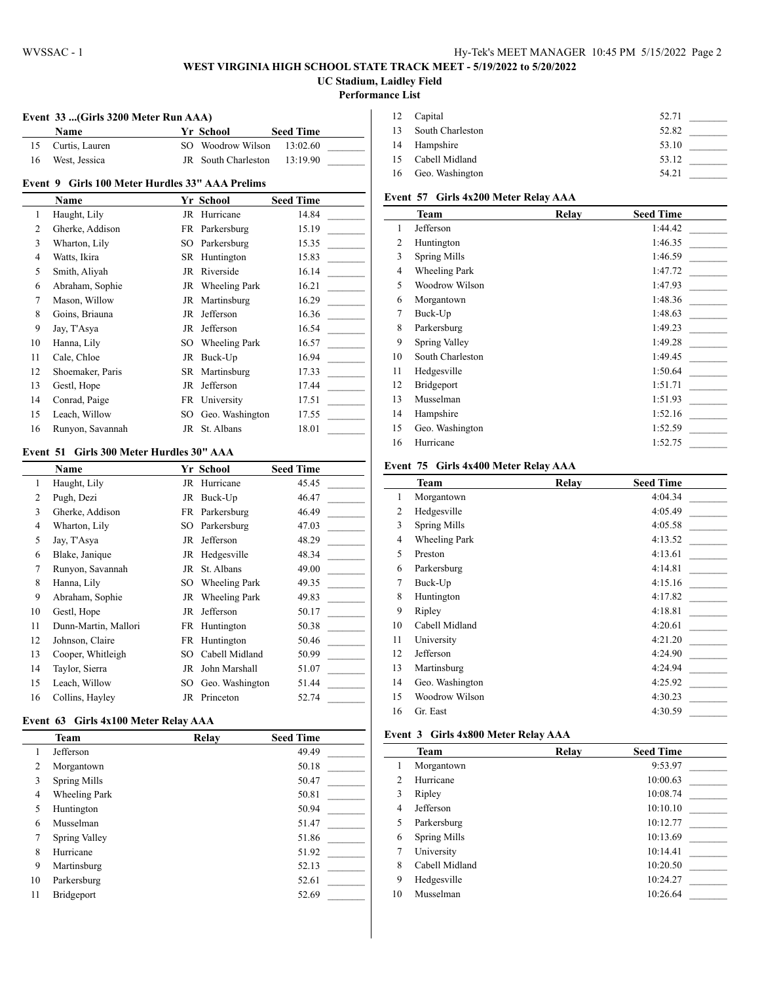### **WEST VIRGINIA HIGH SCHOOL STATE TRACK MEET - 5/19/2022 to 5/20/2022 UC Stadium, Laidley Field**

#### **Performance List**

 $\overline{a}$ 

 $\overline{a}$ 

#### **Event 33 ...(Girls 3200 Meter Run AAA)**

|    | Name              | <b>Yr School</b>    | <b>Seed Time</b> |  |
|----|-------------------|---------------------|------------------|--|
|    | 15 Curtis, Lauren | SO Woodrow Wilson   | 13:02.60         |  |
| 16 | West, Jessica     | JR South Charleston | 13:19.90         |  |

#### **Event 9 Girls 100 Meter Hurdles 33" AAA Prelims**

|                | Name             |     | Yr School            | <b>Seed Time</b> |
|----------------|------------------|-----|----------------------|------------------|
| 1              | Haught, Lily     | JR  | Hurricane            | 14.84            |
| 2              | Gherke, Addison  | FR  | Parkersburg          | 15.19            |
| 3              | Wharton, Lily    | SO  | Parkersburg          | 15.35            |
| $\overline{4}$ | Watts, Ikira     | SR  | Huntington           | 15.83            |
| 5              | Smith, Aliyah    |     | JR Riverside         | 16.14            |
| 6              | Abraham, Sophie  |     | JR Wheeling Park     | 16.21            |
| 7              | Mason, Willow    |     | JR Martinsburg       | 16.29            |
| 8              | Goins, Briauna   | JR  | Jefferson            | 16.36            |
| 9              | Jay, T'Asya      | JR  | Jefferson            | 16.54            |
| 10             | Hanna, Lily      | SO  | <b>Wheeling Park</b> | 16.57            |
| 11             | Cale, Chloe      | JR  | Buck-Up              | 16.94            |
| 12             | Shoemaker, Paris |     | SR Martinsburg       | 17.33            |
| 13             | Gestl, Hope      | JR  | Jefferson            | 17.44            |
| 14             | Conrad, Paige    |     | FR University        | 17.51            |
| 15             | Leach, Willow    | SO. | Geo. Washington      | 17.55            |
| 16             | Runyon, Savannah | JR  | St. Albans           | 18.01            |

#### **Event 51 Girls 300 Meter Hurdles 30" AAA**

|    | <b>Name</b>          |    | Yr School            | <b>Seed Time</b> |
|----|----------------------|----|----------------------|------------------|
| 1  | Haught, Lily         | JR | Hurricane            | 45.45            |
| 2  | Pugh, Dezi           | JR | Buck-Up              | 46.47            |
| 3  | Gherke, Addison      | FR | Parkersburg          | 46.49            |
| 4  | Wharton, Lily        | SO | Parkersburg          | 47.03            |
| 5  | Jay, T'Asya          | JR | Jefferson            | 48.29            |
| 6  | Blake, Janique       | JR | Hedgesville          | 48.34            |
| 7  | Runyon, Savannah     | JR | St. Albans           | 49.00            |
| 8  | Hanna, Lily          | SO | <b>Wheeling Park</b> | 49.35            |
| 9  | Abraham, Sophie      | JR | Wheeling Park        | 49.83            |
| 10 | Gestl, Hope          | JR | Jefferson            | 50.17            |
| 11 | Dunn-Martin, Mallori | FR | Huntington           | 50.38            |
| 12 | Johnson, Claire      | FR | Huntington           | 50.46            |
| 13 | Cooper, Whitleigh    | SО | Cabell Midland       | 50.99            |
| 14 | Taylor, Sierra       | JR | John Marshall        | 51.07            |
| 15 | Leach, Willow        | SО | Geo. Washington      | 51.44            |
| 16 | Collins, Hayley      | JR | Princeton            | 52.74            |

#### **Event 63 Girls 4x100 Meter Relay AAA**

|                | <b>Team</b>          | Relay | <b>Seed Time</b> |
|----------------|----------------------|-------|------------------|
| 1              | Jefferson            |       | 49.49            |
| $\overline{c}$ | Morgantown           |       | 50.18            |
| 3              | <b>Spring Mills</b>  |       | 50.47            |
| $\overline{4}$ | <b>Wheeling Park</b> |       | 50.81            |
| 5              | Huntington           |       | 50.94            |
| 6              | Musselman            |       | 51.47            |
| 7              | Spring Valley        |       | 51.86            |
| 8              | Hurricane            |       | 51.92            |
| 9              | Martinsburg          |       | 52.13            |
| 10             | Parkersburg          |       | 52.61            |
| 11             | Bridgeport           |       | 52.69            |

| 12 Capital          | 52.71 |  |
|---------------------|-------|--|
| 13 South Charleston | 52.82 |  |
| 14 Hampshire        | 53.10 |  |
| 15 Cabell Midland   | 53.12 |  |
| 16 Geo. Washington  | 54.21 |  |

## **Event 57 Girls 4x200 Meter Relay AAA**

|    | <b>Team</b>          | Relay | <b>Seed Time</b> |
|----|----------------------|-------|------------------|
| 1  | Jefferson            |       | 1:44.42          |
| 2  | Huntington           |       | 1:46.35          |
| 3  | <b>Spring Mills</b>  |       | 1:46.59          |
| 4  | <b>Wheeling Park</b> |       | 1:47.72          |
| 5  | Woodrow Wilson       |       | 1:47.93          |
| 6  | Morgantown           |       | 1:48.36          |
| 7  | Buck-Up              |       | 1:48.63          |
| 8  | Parkersburg          |       | 1:49.23          |
| 9  | Spring Valley        |       | 1:49.28          |
| 10 | South Charleston     |       | 1:49.45          |
| 11 | Hedgesville          |       | 1:50.64          |
| 12 | Bridgeport           |       | 1:51.71          |
| 13 | Musselman            |       | 1:51.93          |
| 14 | Hampshire            |       | 1:52.16          |
| 15 | Geo. Washington      |       | 1:52.59          |
| 16 | Hurricane            |       | 1:52.75          |

#### **Event 75 Girls 4x400 Meter Relay AAA**

|                | <b>Team</b>          | Relay | <b>Seed Time</b> |
|----------------|----------------------|-------|------------------|
| 1              | Morgantown           |       | 4:04.34          |
| 2              | Hedgesville          |       | 4:05.49          |
| 3              | <b>Spring Mills</b>  |       | 4:05.58          |
| $\overline{4}$ | <b>Wheeling Park</b> |       | 4:13.52          |
| 5              | Preston              |       | 4:13.61          |
| 6              | Parkersburg          |       | 4:14.81          |
| 7              | Buck-Up              |       | 4:15.16          |
| 8              | Huntington           |       | 4:17.82          |
| 9              | Ripley               |       | 4:18.81          |
| 10             | Cabell Midland       |       | 4:20.61          |
| 11             | University           |       | 4:21.20          |
| 12             | Jefferson            |       | 4:24.90          |
| 13             | Martinsburg          |       | 4:24.94          |
| 14             | Geo. Washington      |       | 4:25.92          |
| 15             | Woodrow Wilson       |       | 4:30.23          |
| 16             | Gr. East             |       | 4:30.59          |

#### **Event 3 Girls 4x800 Meter Relay AAA**

|    | Team                | Relay | <b>Seed Time</b> |
|----|---------------------|-------|------------------|
|    | Morgantown          |       | 9:53.97          |
| 2  | Hurricane           |       | 10:00.63         |
| 3  | Ripley              |       | 10:08.74         |
| 4  | Jefferson           |       | 10:10.10         |
| 5  | Parkersburg         |       | 10:12.77         |
| 6  | <b>Spring Mills</b> |       | 10:13.69         |
| 7  | University          |       | 10:14.41         |
| 8  | Cabell Midland      |       | 10:20.50         |
| 9  | Hedgesville         |       | 10:24.27         |
| 10 | Musselman           |       | 10:26.64         |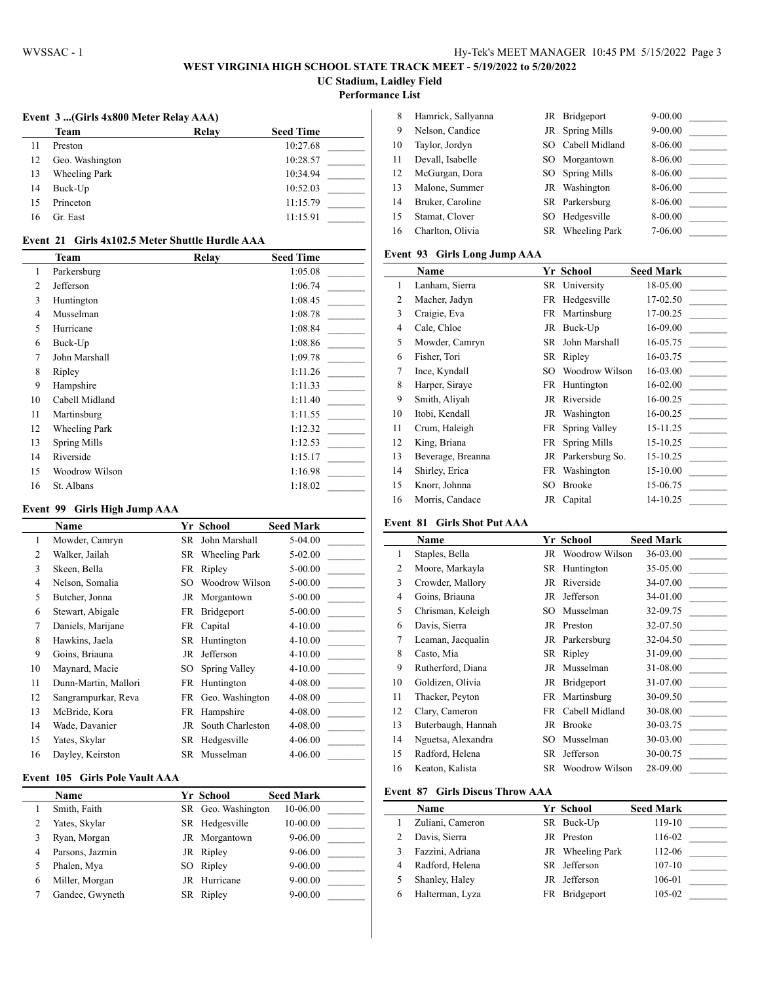# **WEST VIRGINIA HIGH SCHOOL STATE TRACK MEET - 5/19/2022 to 5/20/2022**

**UC Stadium, Laidley Field**

**Performance List**

 $\overline{a}$ 

# **Event 3 ...(Girls 4x800 Meter Relay AAA)**

|    | Team            | <b>Relay</b> | <b>Seed Time</b> |
|----|-----------------|--------------|------------------|
| 11 | Preston         |              | 10:27.68         |
| 12 | Geo. Washington |              | 10:28.57         |
| 13 | Wheeling Park   |              | 10:34.94         |
| 14 | Buck-Up         |              | 10:52.03         |
| 15 | Princeton       |              | 11:15.79         |
| 16 | Gr. East        |              | 11:15.91         |
|    |                 |              |                  |

| 8  | Hamrick, Sallyanna |     | JR Bridgeport        | $9 - 00.00$ |  |
|----|--------------------|-----|----------------------|-------------|--|
| 9  | Nelson, Candice    |     | JR Spring Mills      | $9 - 00.00$ |  |
| 10 | Taylor, Jordyn     | SO. | Cabell Midland       | 8-06.00     |  |
| 11 | Devall, Isabelle   |     | SO Morgantown        | 8-06.00     |  |
| 12 | McGurgan, Dora     |     | SO Spring Mills      | 8-06.00     |  |
| 13 | Malone, Summer     |     | JR Washington        | 8-06.00     |  |
| 14 | Bruker, Caroline   |     | SR Parkersburg       | 8-06.00     |  |
| 15 | Stamat, Clover     | SO. | Hedgesville          | 8-00.00     |  |
| 16 | Charlton, Olivia   | SR. | <b>Wheeling Park</b> | 7-06.00     |  |
|    |                    |     |                      |             |  |

## **Event 93 Girls Long Jump AAA**

|    | <b>Name</b>       |    | Yr School       | <b>Seed Mark</b> |
|----|-------------------|----|-----------------|------------------|
| 1  | Lanham, Sierra    |    | SR University   | 18-05.00         |
| 2  | Macher, Jadyn     | FR | Hedgesville     | 17-02.50         |
| 3  | Craigie, Eva      |    | FR Martinsburg  | 17-00.25         |
| 4  | Cale, Chloe       |    | JR Buck-Up      | 16-09.00         |
| 5  | Mowder, Camryn    | SR | John Marshall   | 16-05.75         |
| 6  | Fisher, Tori      |    | SR Ripley       | 16-03.75         |
| 7  | Ince, Kyndall     | SO | Woodrow Wilson  | 16-03.00         |
| 8  | Harper, Siraye    | FR | Huntington      | 16-02.00         |
| 9  | Smith, Aliyah     | JR | Riverside       | 16-00.25         |
| 10 | Itobi, Kendall    |    | JR Washington   | 16-00.25         |
| 11 | Crum, Haleigh     | FR | Spring Valley   | 15-11.25         |
| 12 | King, Briana      | FR | Spring Mills    | 15-10.25         |
| 13 | Beverage, Breanna | JR | Parkersburg So. | 15-10.25         |
| 14 | Shirley, Erica    | FR | Washington      | 15-10.00         |
| 15 | Knorr, Johnna     | SO | Brooke          | 15-06.75         |
| 16 | Morris, Candace   | JR | Capital         | 14-10.25         |

#### **Event 81 Girls Shot Put AAA**

|    | <b>Name</b>        |     | Yr School         | <b>Seed Mark</b> |
|----|--------------------|-----|-------------------|------------------|
| 1  | Staples, Bella     |     | JR Woodrow Wilson | 36-03.00         |
| 2  | Moore, Markayla    |     | SR Huntington     | 35-05.00         |
| 3  | Crowder, Mallory   |     | JR Riverside      | 34-07.00         |
| 4  | Goins, Briauna     |     | JR Jefferson      | 34-01.00         |
| 5  | Chrisman, Keleigh  | SO. | Musselman         | 32-09.75         |
| 6  | Davis, Sierra      |     | JR Preston        | 32-07.50         |
| 7  | Leaman, Jacqualin  |     | JR Parkersburg    | 32-04.50         |
| 8  | Casto, Mia         |     | SR Ripley         | 31-09.00         |
| 9  | Rutherford, Diana  |     | JR Musselman      | 31-08.00         |
| 10 | Goldizen, Olivia   | JR  | Bridgeport        | 31-07.00         |
| 11 | Thacker, Peyton    |     | FR Martinsburg    | 30-09.50         |
| 12 | Clary, Cameron     |     | FR Cabell Midland | 30-08.00         |
| 13 | Buterbaugh, Hannah |     | JR Brooke         | 30-03.75         |
| 14 | Nguetsa, Alexandra | SО  | Musselman         | 30-03.00         |
| 15 | Radford, Helena    | SR. | Jefferson         | 30-00.75         |
| 16 | Keaton, Kalista    | SR  | Woodrow Wilson    | 28-09.00         |

# **Event 87 Girls Discus Throw AAA**

l,

|   | <b>Name</b>      | Yr School        | <b>Seed Mark</b> |  |
|---|------------------|------------------|------------------|--|
|   | Zuliani, Cameron | SR Buck-Up       | 119-10           |  |
|   | Davis, Sierra    | JR Preston       | 116-02           |  |
|   | Fazzini, Adriana | JR Wheeling Park | 112-06           |  |
| 4 | Radford, Helena  | SR Jefferson     | $107-10$         |  |
|   | Shanley, Haley   | JR Jefferson     | 106-01           |  |
| 6 | Halterman, Lyza  | FR Bridgeport    | 105-02           |  |

| Event   21    Girls 4x102.5 Meter Shuttle Hurdle AAA |  |
|------------------------------------------------------|--|
|------------------------------------------------------|--|

|    | <b>Team</b>          | Relay | <b>Seed Time</b> |
|----|----------------------|-------|------------------|
| 1  | Parkersburg          |       | 1:05.08          |
| 2  | Jefferson            |       | 1:06.74          |
| 3  | Huntington           |       | 1:08.45          |
| 4  | Musselman            |       | 1:08.78          |
| 5  | Hurricane            |       | 1:08.84          |
| 6  | Buck-Up              |       | 1:08.86          |
| 7  | John Marshall        |       | 1:09.78          |
| 8  | Ripley               |       | 1:11.26          |
| 9  | Hampshire            |       | 1:11.33          |
| 10 | Cabell Midland       |       | 1:11.40          |
| 11 | Martinsburg          |       | 1:11.55          |
| 12 | <b>Wheeling Park</b> |       | 1:12.32          |
| 13 | <b>Spring Mills</b>  |       | 1:12.53          |
| 14 | Riverside            |       | 1:15.17          |
| 15 | Woodrow Wilson       |       | 1:16.98          |
| 16 | St. Albans           |       | 1:18.02          |

#### **Event 99 Girls High Jump AAA**

|    | Name                 |      | Yr School          | <b>Seed Mark</b> |
|----|----------------------|------|--------------------|------------------|
| 1  | Mowder, Camryn       | SR   | John Marshall      | 5-04.00          |
| 2  | Walker, Jailah       |      | SR Wheeling Park   | 5-02.00          |
| 3  | Skeen, Bella         | FR   | Ripley             | 5-00.00          |
| 4  | Nelson, Somalia      | SO   | Woodrow Wilson     | 5-00.00          |
| 5  | Butcher, Jonna       | JR   | Morgantown         | 5-00.00          |
| 6  | Stewart, Abigale     | FR   | Bridgeport         | 5-00.00          |
| 7  | Daniels, Marijane    |      | FR Capital         | $4 - 10.00$      |
| 8  | Hawkins, Jaela       |      | SR Huntington      | $4 - 10.00$      |
| 9  | Goins, Briauna       |      | JR Jefferson       | $4 - 10.00$      |
| 10 | Maynard, Macie       | SO - | Spring Valley      | $4 - 10.00$      |
| 11 | Dunn-Martin, Mallori |      | FR Huntington      | 4-08.00          |
| 12 | Sangrampurkar, Reva  |      | FR Geo. Washington | 4-08.00          |
| 13 | McBride, Kora        | FR   | Hampshire          | 4-08.00          |
| 14 | Wade, Davanier       | JR   | South Charleston   | 4-08.00          |
| 15 | Yates, Skylar        | SR   | Hedgesville        | 4-06.00          |
| 16 | Dayley, Keirston     |      | SR Musselman       | 4-06.00          |

## **Event 105 Girls Pole Vault AAA**

|   | Name            | Yr School          | <b>Seed Mark</b> |
|---|-----------------|--------------------|------------------|
|   | Smith, Faith    | SR Geo. Washington | 10-06.00         |
|   | Yates, Skylar   | SR Hedgesville     | 10-00.00         |
| 3 | Ryan, Morgan    | JR Morgantown      | $9 - 06.00$      |
| 4 | Parsons, Jazmin | JR Ripley          | $9 - 06.00$      |
|   | Phalen, Mya     | SO Ripley          | $9 - 00.00$      |
| 6 | Miller, Morgan  | JR Hurricane       | $9 - 00.00$      |
|   | Gandee, Gwyneth | SR Ripley          | $9 - 00.00$      |